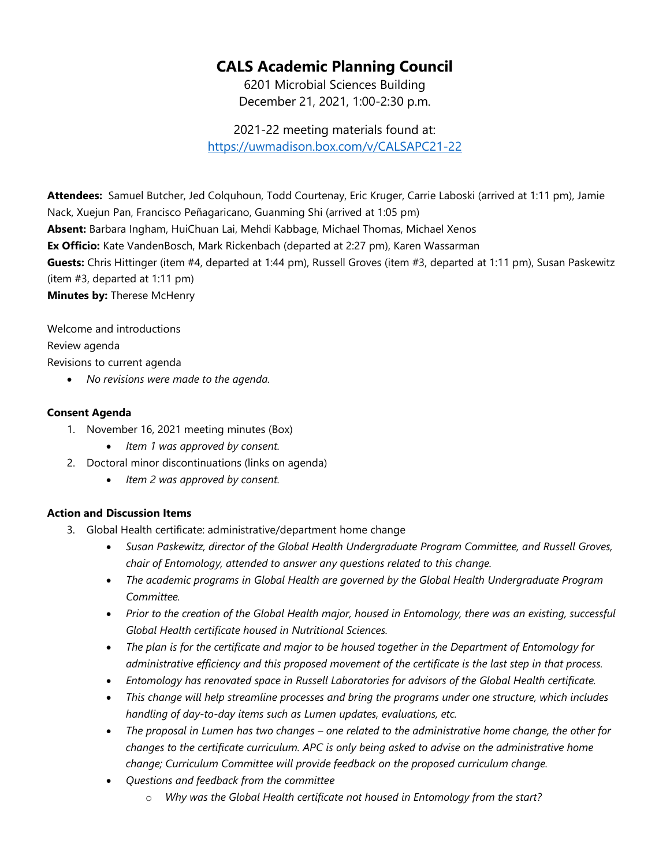# **CALS Academic Planning Council**

6201 Microbial Sciences Building December 21, 2021, 1:00-2:30 p.m.

2021-22 meeting materials found at: <https://uwmadison.box.com/v/CALSAPC21-22>

**Attendees:** Samuel Butcher, Jed Colquhoun, Todd Courtenay, Eric Kruger, Carrie Laboski (arrived at 1:11 pm), Jamie Nack, Xuejun Pan, Francisco Peñagaricano, Guanming Shi (arrived at 1:05 pm) **Absent:** Barbara Ingham, HuiChuan Lai, Mehdi Kabbage, Michael Thomas, Michael Xenos **Ex Officio:** Kate VandenBosch, Mark Rickenbach (departed at 2:27 pm), Karen Wassarman **Guests:** Chris Hittinger (item #4, departed at 1:44 pm), Russell Groves (item #3, departed at 1:11 pm), Susan Paskewitz (item #3, departed at 1:11 pm) **Minutes by:** Therese McHenry

Welcome and introductions Review agenda

Revisions to current agenda

• *No revisions were made to the agenda.*

## **Consent Agenda**

- 1. November 16, 2021 meeting minutes (Box)
	- *Item 1 was approved by consent.*
- 2. Doctoral minor discontinuations (links on agenda)
	- *Item 2 was approved by consent.*

## **Action and Discussion Items**

- 3. Global Health certificate: administrative/department home change
	- *Susan Paskewitz, director of the Global Health Undergraduate Program Committee, and Russell Groves, chair of Entomology, attended to answer any questions related to this change.*
	- *The academic programs in Global Health are governed by the Global Health Undergraduate Program Committee.*
	- *Prior to the creation of the Global Health major, housed in Entomology, there was an existing, successful Global Health certificate housed in Nutritional Sciences.*
	- *The plan is for the certificate and major to be housed together in the Department of Entomology for administrative efficiency and this proposed movement of the certificate is the last step in that process.*
	- *Entomology has renovated space in Russell Laboratories for advisors of the Global Health certificate.*
	- *This change will help streamline processes and bring the programs under one structure, which includes handling of day-to-day items such as Lumen updates, evaluations, etc.*
	- *The proposal in Lumen has two changes – one related to the administrative home change, the other for changes to the certificate curriculum. APC is only being asked to advise on the administrative home change; Curriculum Committee will provide feedback on the proposed curriculum change.*
	- *Questions and feedback from the committee*
		- o *Why was the Global Health certificate not housed in Entomology from the start?*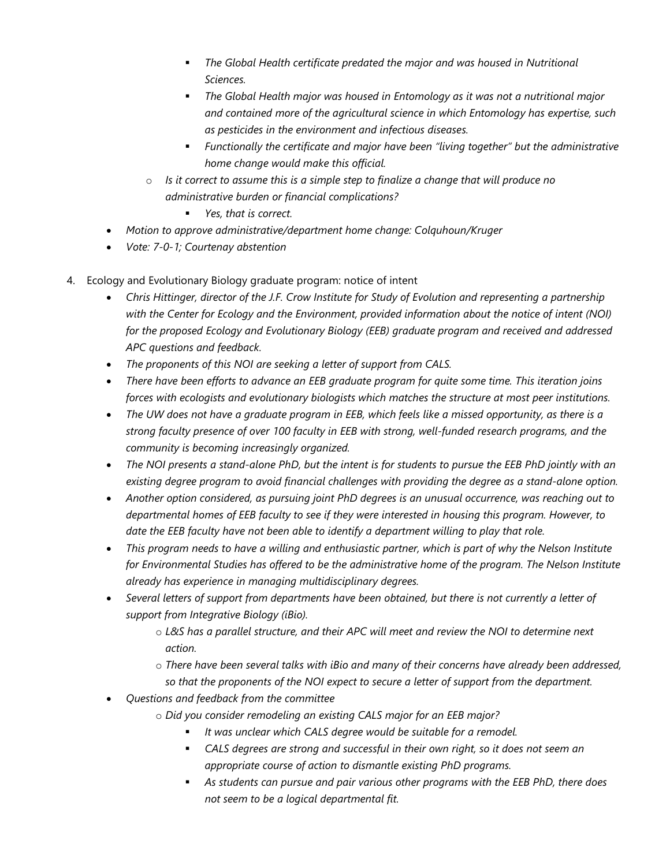- **•** The Global Health certificate predated the major and was housed in Nutritional *Sciences.*
- *The Global Health major was housed in Entomology as it was not a nutritional major and contained more of the agricultural science in which Entomology has expertise, such as pesticides in the environment and infectious diseases.*
- *Functionally the certificate and major have been "living together" but the administrative home change would make this official.*
- o *Is it correct to assume this is a simple step to finalize a change that will produce no administrative burden or financial complications?*

*Yes, that is correct.*

- *Motion to approve administrative/department home change: Colquhoun/Kruger*
- *Vote: 7-0-1; Courtenay abstention*
- 4. Ecology and Evolutionary Biology graduate program: notice of intent
	- *Chris Hittinger, director of the J.F. Crow Institute for Study of Evolution and representing a partnership with the Center for Ecology and the Environment, provided information about the notice of intent (NOI) for the proposed Ecology and Evolutionary Biology (EEB) graduate program and received and addressed APC questions and feedback.*
	- *The proponents of this NOI are seeking a letter of support from CALS.*
	- *There have been efforts to advance an EEB graduate program for quite some time. This iteration joins forces with ecologists and evolutionary biologists which matches the structure at most peer institutions.*
	- *The UW does not have a graduate program in EEB, which feels like a missed opportunity, as there is a strong faculty presence of over 100 faculty in EEB with strong, well-funded research programs, and the community is becoming increasingly organized.*
	- *The NOI presents a stand-alone PhD, but the intent is for students to pursue the EEB PhD jointly with an existing degree program to avoid financial challenges with providing the degree as a stand-alone option.*
	- *Another option considered, as pursuing joint PhD degrees is an unusual occurrence, was reaching out to departmental homes of EEB faculty to see if they were interested in housing this program. However, to date the EEB faculty have not been able to identify a department willing to play that role.*
	- *This program needs to have a willing and enthusiastic partner, which is part of why the Nelson Institute for Environmental Studies has offered to be the administrative home of the program. The Nelson Institute already has experience in managing multidisciplinary degrees.*
	- *Several letters of support from departments have been obtained, but there is not currently a letter of support from Integrative Biology (iBio).*
		- o *L&S has a parallel structure, and their APC will meet and review the NOI to determine next action.*
		- o *There have been several talks with iBio and many of their concerns have already been addressed, so that the proponents of the NOI expect to secure a letter of support from the department.*
	- *Questions and feedback from the committee*
		- o *Did you consider remodeling an existing CALS major for an EEB major?*
			- *It was unclear which CALS degree would be suitable for a remodel.*
			- *CALS degrees are strong and successful in their own right, so it does not seem an appropriate course of action to dismantle existing PhD programs.*
			- *As students can pursue and pair various other programs with the EEB PhD, there does not seem to be a logical departmental fit.*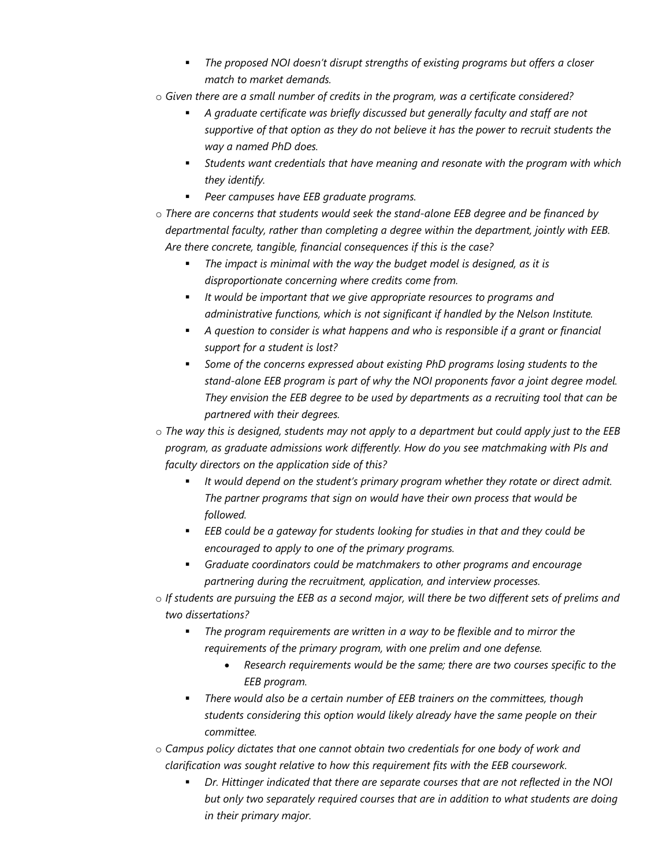- *The proposed NOI doesn't disrupt strengths of existing programs but offers a closer match to market demands.*
- o *Given there are a small number of credits in the program, was a certificate considered?*
	- *A graduate certificate was briefly discussed but generally faculty and staff are not supportive of that option as they do not believe it has the power to recruit students the way a named PhD does.*
	- *Students want credentials that have meaning and resonate with the program with which they identify.*
	- *Peer campuses have EEB graduate programs.*
- o *There are concerns that students would seek the stand-alone EEB degree and be financed by departmental faculty, rather than completing a degree within the department, jointly with EEB. Are there concrete, tangible, financial consequences if this is the case?*
	- *The impact is minimal with the way the budget model is designed, as it is disproportionate concerning where credits come from.*
	- *It would be important that we give appropriate resources to programs and administrative functions, which is not significant if handled by the Nelson Institute.*
	- *A question to consider is what happens and who is responsible if a grant or financial support for a student is lost?*
	- *Some of the concerns expressed about existing PhD programs losing students to the stand-alone EEB program is part of why the NOI proponents favor a joint degree model. They envision the EEB degree to be used by departments as a recruiting tool that can be partnered with their degrees.*
- o *The way this is designed, students may not apply to a department but could apply just to the EEB program, as graduate admissions work differently. How do you see matchmaking with PIs and faculty directors on the application side of this?*
	- *It would depend on the student's primary program whether they rotate or direct admit. The partner programs that sign on would have their own process that would be followed.*
	- *EEB could be a gateway for students looking for studies in that and they could be encouraged to apply to one of the primary programs.*
	- *Graduate coordinators could be matchmakers to other programs and encourage partnering during the recruitment, application, and interview processes.*
- o *If students are pursuing the EEB as a second major, will there be two different sets of prelims and two dissertations?*
	- *The program requirements are written in a way to be flexible and to mirror the requirements of the primary program, with one prelim and one defense.*
		- *Research requirements would be the same; there are two courses specific to the EEB program.*
	- *There would also be a certain number of EEB trainers on the committees, though students considering this option would likely already have the same people on their committee.*
- o *Campus policy dictates that one cannot obtain two credentials for one body of work and clarification was sought relative to how this requirement fits with the EEB coursework.*
	- *Dr. Hittinger indicated that there are separate courses that are not reflected in the NOI but only two separately required courses that are in addition to what students are doing in their primary major.*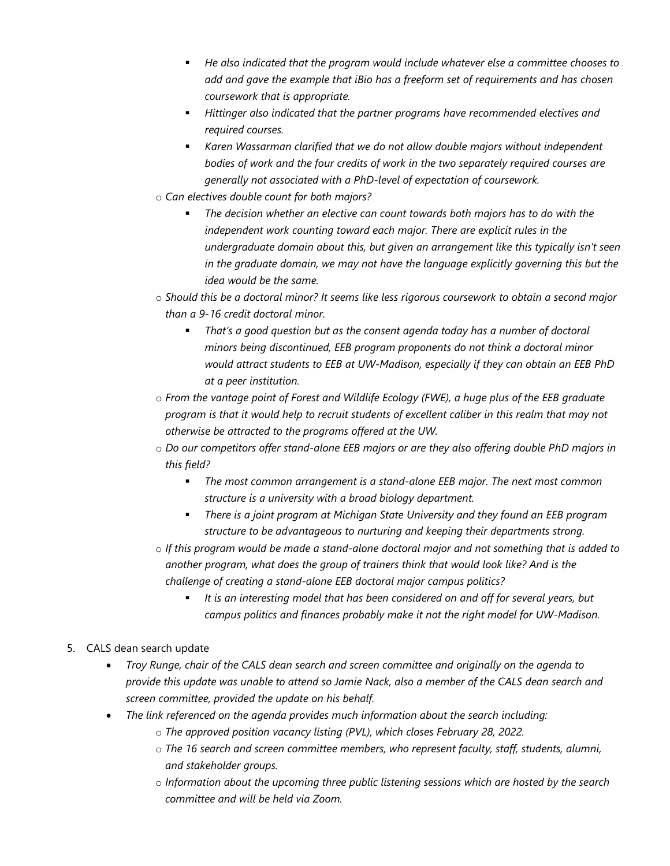- *He also indicated that the program would include whatever else a committee chooses to add and gave the example that iBio has a freeform set of requirements and has chosen coursework that is appropriate.*
- *Hittinger also indicated that the partner programs have recommended electives and required courses.*
- *Karen Wassarman clarified that we do not allow double majors without independent bodies of work and the four credits of work in the two separately required courses are generally not associated with a PhD-level of expectation of coursework.*
- o *Can electives double count for both majors?*
	- *The decision whether an elective can count towards both majors has to do with the independent work counting toward each major. There are explicit rules in the undergraduate domain about this, but given an arrangement like this typically isn't seen in the graduate domain, we may not have the language explicitly governing this but the idea would be the same.*
- o *Should this be a doctoral minor? It seems like less rigorous coursework to obtain a second major than a 9-16 credit doctoral minor.*
	- *That's a good question but as the consent agenda today has a number of doctoral minors being discontinued, EEB program proponents do not think a doctoral minor would attract students to EEB at UW-Madison, especially if they can obtain an EEB PhD at a peer institution.*
- o *From the vantage point of Forest and Wildlife Ecology (FWE), a huge plus of the EEB graduate program is that it would help to recruit students of excellent caliber in this realm that may not otherwise be attracted to the programs offered at the UW.*
- o *Do our competitors offer stand-alone EEB majors or are they also offering double PhD majors in this field?*
	- *The most common arrangement is a stand-alone EEB major. The next most common structure is a university with a broad biology department.*
	- *There is a joint program at Michigan State University and they found an EEB program structure to be advantageous to nurturing and keeping their departments strong.*
- o *If this program would be made a stand-alone doctoral major and not something that is added to another program, what does the group of trainers think that would look like? And is the challenge of creating a stand-alone EEB doctoral major campus politics?*
	- *It is an interesting model that has been considered on and off for several years, but campus politics and finances probably make it not the right model for UW-Madison.*

### 5. CALS dean search update

- *Troy Runge, chair of the CALS dean search and screen committee and originally on the agenda to provide this update was unable to attend so Jamie Nack, also a member of the CALS dean search and screen committee, provided the update on his behalf.*
- *The link referenced on the agenda provides much information about the search including:*
	- o *The approved position vacancy listing (PVL), which closes February 28, 2022.*
	- o *The 16 search and screen committee members, who represent faculty, staff, students, alumni, and stakeholder groups.*
	- o *Information about the upcoming three public listening sessions which are hosted by the search committee and will be held via Zoom.*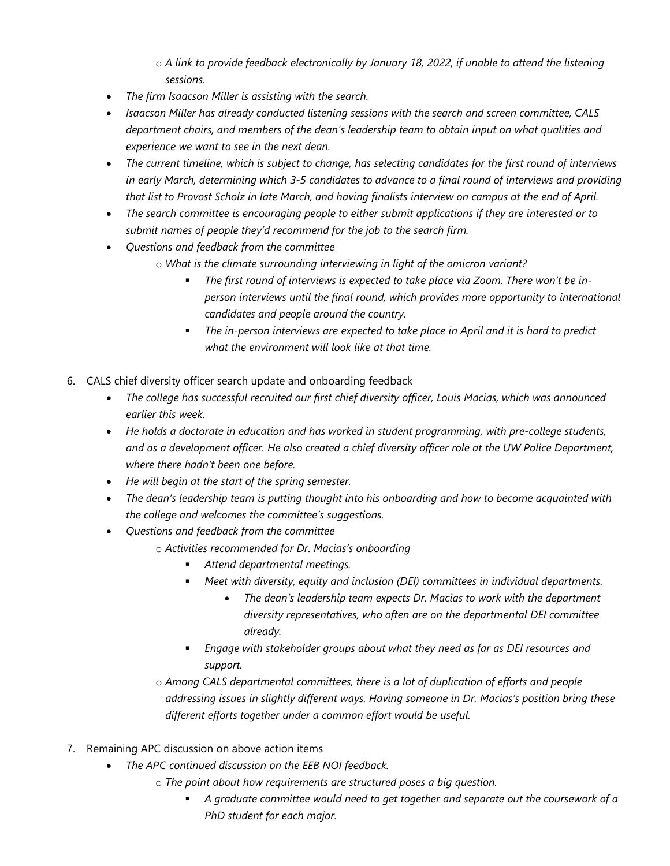o *A link to provide feedback electronically by January 18, 2022, if unable to attend the listening sessions.*

- *The firm Isaacson Miller is assisting with the search.*
- *Isaacson Miller has already conducted listening sessions with the search and screen committee, CALS department chairs, and members of the dean's leadership team to obtain input on what qualities and experience we want to see in the next dean.*
- *The current timeline, which is subject to change, has selecting candidates for the first round of interviews in early March, determining which 3-5 candidates to advance to a final round of interviews and providing that list to Provost Scholz in late March, and having finalists interview on campus at the end of April.*
- *The search committee is encouraging people to either submit applications if they are interested or to submit names of people they'd recommend for the job to the search firm.*
- *Questions and feedback from the committee*
	- o *What is the climate surrounding interviewing in light of the omicron variant?*
		- *The first round of interviews is expected to take place via Zoom. There won't be inperson interviews until the final round, which provides more opportunity to international candidates and people around the country.*
		- *The in-person interviews are expected to take place in April and it is hard to predict what the environment will look like at that time.*
- 6. CALS chief diversity officer search update and onboarding feedback
	- *The college has successful recruited our first chief diversity officer, Louis Macias, which was announced earlier this week.*
	- *He holds a doctorate in education and has worked in student programming, with pre-college students, and as a development officer. He also created a chief diversity officer role at the UW Police Department, where there hadn't been one before.*
	- *He will begin at the start of the spring semester.*
	- *The dean's leadership team is putting thought into his onboarding and how to become acquainted with the college and welcomes the committee's suggestions.*
	- *Questions and feedback from the committee*
		- o *Activities recommended for Dr. Macias's onboarding*
			- *Attend departmental meetings.*
			- *Meet with diversity, equity and inclusion (DEI) committees in individual departments.*
				- *The dean's leadership team expects Dr. Macias to work with the department diversity representatives, who often are on the departmental DEI committee already.*
			- *Engage with stakeholder groups about what they need as far as DEI resources and support.*
		- o *Among CALS departmental committees, there is a lot of duplication of efforts and people addressing issues in slightly different ways. Having someone in Dr. Macias's position bring these different efforts together under a common effort would be useful.*
- 7. Remaining APC discussion on above action items
	- *The APC continued discussion on the EEB NOI feedback.*
		- o *The point about how requirements are structured poses a big question.*
			- *A graduate committee would need to get together and separate out the coursework of a PhD student for each major.*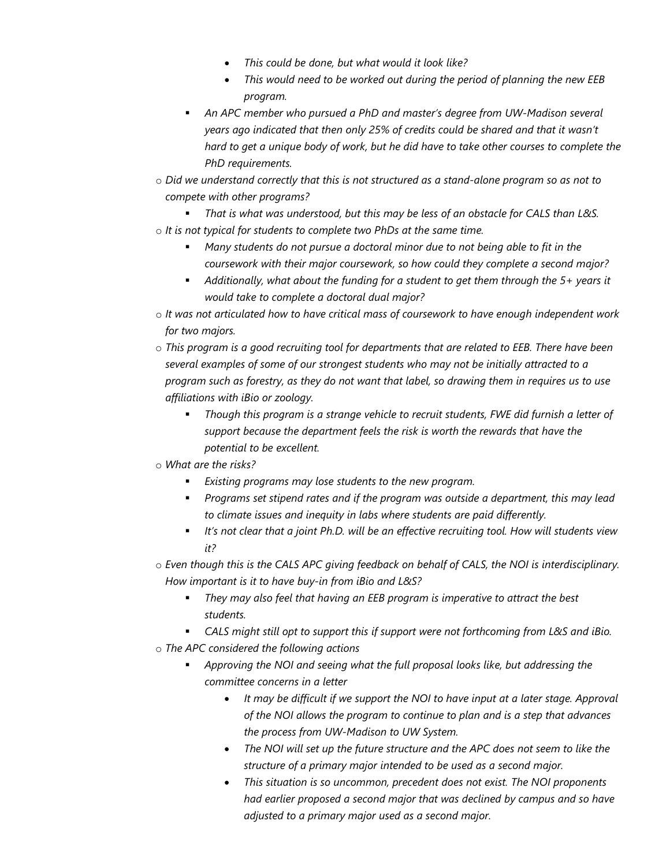- *This could be done, but what would it look like?*
- *This would need to be worked out during the period of planning the new EEB program.*
- **An APC member who pursued a PhD and master's degree from UW-Madison several** *years ago indicated that then only 25% of credits could be shared and that it wasn't hard to get a unique body of work, but he did have to take other courses to complete the PhD requirements.*
- o *Did we understand correctly that this is not structured as a stand-alone program so as not to compete with other programs?*
- *That is what was understood, but this may be less of an obstacle for CALS than L&S.* o *It is not typical for students to complete two PhDs at the same time.*
	- *Many students do not pursue a doctoral minor due to not being able to fit in the coursework with their major coursework, so how could they complete a second major?*
	- *Additionally, what about the funding for a student to get them through the 5+ years it would take to complete a doctoral dual major?*
- o *It was not articulated how to have critical mass of coursework to have enough independent work for two majors.*
- o *This program is a good recruiting tool for departments that are related to EEB. There have been several examples of some of our strongest students who may not be initially attracted to a program such as forestry, as they do not want that label, so drawing them in requires us to use affiliations with iBio or zoology.*
	- *Though this program is a strange vehicle to recruit students, FWE did furnish a letter of support because the department feels the risk is worth the rewards that have the potential to be excellent.*
- o *What are the risks?*
	- *Existing programs may lose students to the new program.*
	- *Programs set stipend rates and if the program was outside a department, this may lead to climate issues and inequity in labs where students are paid differently.*
	- *It's not clear that a joint Ph.D. will be an effective recruiting tool. How will students view it?*
- o *Even though this is the CALS APC giving feedback on behalf of CALS, the NOI is interdisciplinary. How important is it to have buy-in from iBio and L&S?*
	- *They may also feel that having an EEB program is imperative to attract the best students.*
	- *CALS might still opt to support this if support were not forthcoming from L&S and iBio.*
- o *The APC considered the following actions*
	- *Approving the NOI and seeing what the full proposal looks like, but addressing the committee concerns in a letter*
		- *It may be difficult if we support the NOI to have input at a later stage. Approval of the NOI allows the program to continue to plan and is a step that advances the process from UW-Madison to UW System.*
		- *The NOI will set up the future structure and the APC does not seem to like the structure of a primary major intended to be used as a second major.*
		- *This situation is so uncommon, precedent does not exist. The NOI proponents had earlier proposed a second major that was declined by campus and so have adjusted to a primary major used as a second major.*